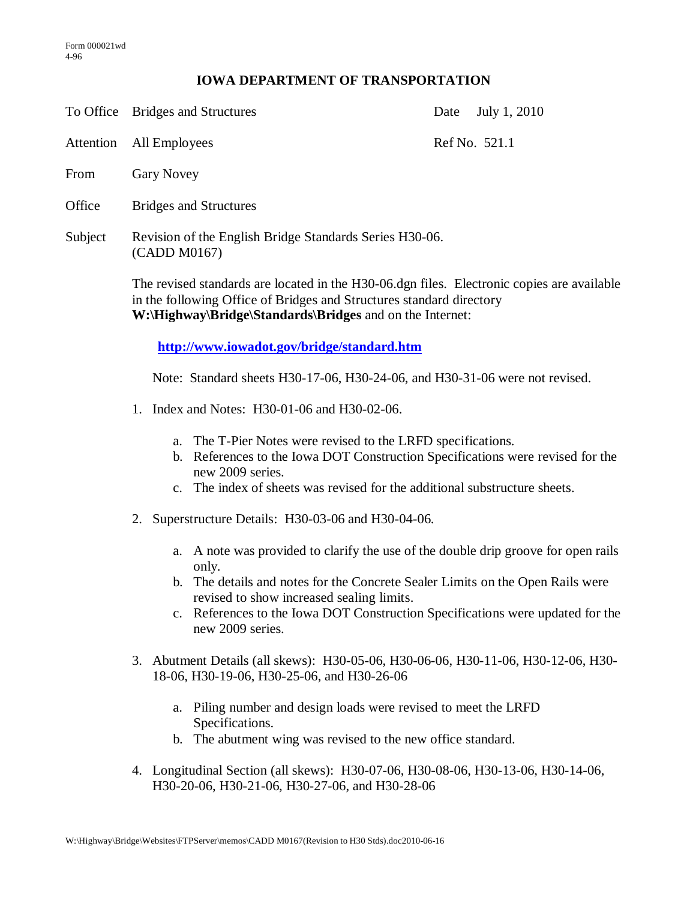## **IOWA DEPARTMENT OF TRANSPORTATION**

To Office Bridges and Structures Date July 1, 2010

Attention All Employees Ref No. 521.1

- From Gary Novey
- Office Bridges and Structures
- Subject Revision of the English Bridge Standards Series H30-06. (CADD M0167)

The revised standards are located in the H30-06.dgn files. Electronic copies are available in the following Office of Bridges and Structures standard directory **W:\Highway\Bridge\Standards\Bridges** and on the Internet:

**<http://www.iowadot.gov/bridge/standard.htm>**

Note: Standard sheets H30-17-06, H30-24-06, and H30-31-06 were not revised.

- 1. Index and Notes: H30-01-06 and H30-02-06.
	- a. The T-Pier Notes were revised to the LRFD specifications.
	- b. References to the Iowa DOT Construction Specifications were revised for the new 2009 series.
	- c. The index of sheets was revised for the additional substructure sheets.
- 2. Superstructure Details: H30-03-06 and H30-04-06.
	- a. A note was provided to clarify the use of the double drip groove for open rails only.
	- b. The details and notes for the Concrete Sealer Limits on the Open Rails were revised to show increased sealing limits.
	- c. References to the Iowa DOT Construction Specifications were updated for the new 2009 series.
- 3. Abutment Details (all skews): H30-05-06, H30-06-06, H30-11-06, H30-12-06, H30- 18-06, H30-19-06, H30-25-06, and H30-26-06
	- a. Piling number and design loads were revised to meet the LRFD Specifications.
	- b. The abutment wing was revised to the new office standard.
- 4. Longitudinal Section (all skews): H30-07-06, H30-08-06, H30-13-06, H30-14-06, H30-20-06, H30-21-06, H30-27-06, and H30-28-06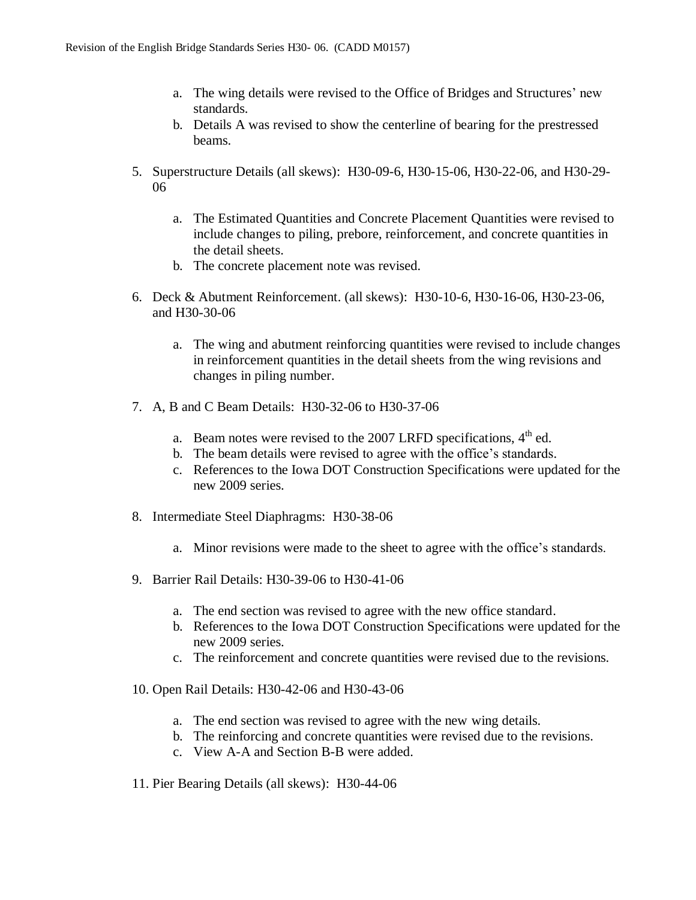- a. The wing details were revised to the Office of Bridges and Structures' new standards.
- b. Details A was revised to show the centerline of bearing for the prestressed beams.
- 5. Superstructure Details (all skews): H30-09-6, H30-15-06, H30-22-06, and H30-29- 06
	- a. The Estimated Quantities and Concrete Placement Quantities were revised to include changes to piling, prebore, reinforcement, and concrete quantities in the detail sheets.
	- b. The concrete placement note was revised.
- 6. Deck & Abutment Reinforcement. (all skews): H30-10-6, H30-16-06, H30-23-06, and H30-30-06
	- a. The wing and abutment reinforcing quantities were revised to include changes in reinforcement quantities in the detail sheets from the wing revisions and changes in piling number.
- 7. A, B and C Beam Details: H30-32-06 to H30-37-06
	- a. Beam notes were revised to the 2007 LRFD specifications,  $4<sup>th</sup>$  ed.
	- b. The beam details were revised to agree with the office's standards.
	- c. References to the Iowa DOT Construction Specifications were updated for the new 2009 series.
- 8. Intermediate Steel Diaphragms: H30-38-06
	- a. Minor revisions were made to the sheet to agree with the office's standards.
- 9. Barrier Rail Details: H30-39-06 to H30-41-06
	- a. The end section was revised to agree with the new office standard.
	- b. References to the Iowa DOT Construction Specifications were updated for the new 2009 series.
	- c. The reinforcement and concrete quantities were revised due to the revisions.
- 10. Open Rail Details: H30-42-06 and H30-43-06
	- a. The end section was revised to agree with the new wing details.
	- b. The reinforcing and concrete quantities were revised due to the revisions.
	- c. View A-A and Section B-B were added.
- 11. Pier Bearing Details (all skews): H30-44-06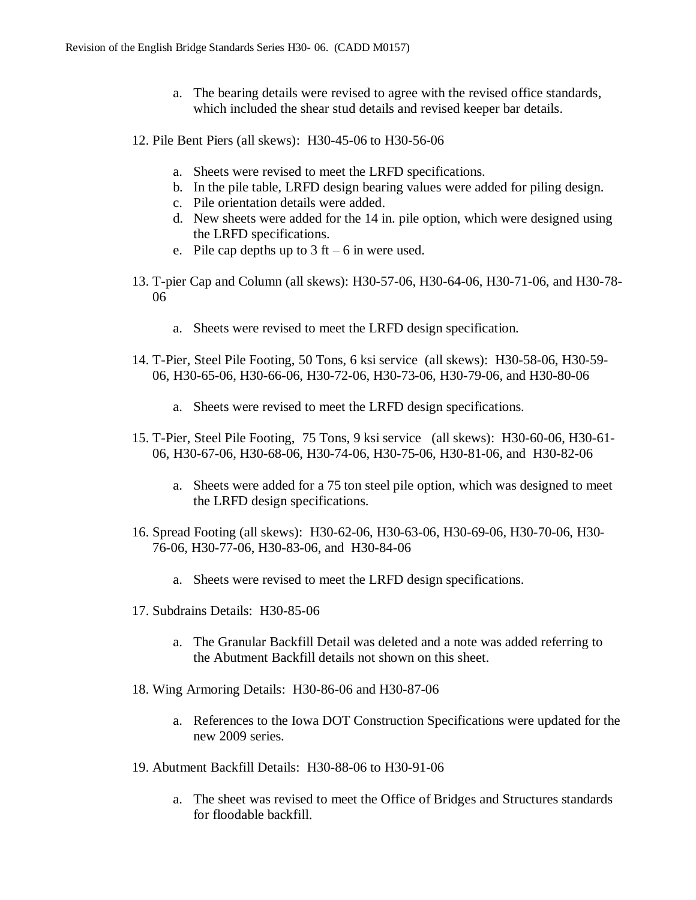- a. The bearing details were revised to agree with the revised office standards, which included the shear stud details and revised keeper bar details.
- 12. Pile Bent Piers (all skews): H30-45-06 to H30-56-06
	- a. Sheets were revised to meet the LRFD specifications.
	- b. In the pile table, LRFD design bearing values were added for piling design.
	- c. Pile orientation details were added.
	- d. New sheets were added for the 14 in. pile option, which were designed using the LRFD specifications.
	- e. Pile cap depths up to  $3 \text{ ft} 6 \text{ in were used.}$
- 13. T-pier Cap and Column (all skews): H30-57-06, H30-64-06, H30-71-06, and H30-78- 06
	- a. Sheets were revised to meet the LRFD design specification.
- 14. T-Pier, Steel Pile Footing, 50 Tons, 6 ksi service (all skews): H30-58-06, H30-59- 06, H30-65-06, H30-66-06, H30-72-06, H30-73-06, H30-79-06, and H30-80-06
	- a. Sheets were revised to meet the LRFD design specifications.
- 15. T-Pier, Steel Pile Footing, 75 Tons, 9 ksi service (all skews): H30-60-06, H30-61- 06, H30-67-06, H30-68-06, H30-74-06, H30-75-06, H30-81-06, and H30-82-06
	- a. Sheets were added for a 75 ton steel pile option, which was designed to meet the LRFD design specifications.
- 16. Spread Footing (all skews): H30-62-06, H30-63-06, H30-69-06, H30-70-06, H30- 76-06, H30-77-06, H30-83-06, and H30-84-06
	- a. Sheets were revised to meet the LRFD design specifications.
- 17. Subdrains Details: H30-85-06
	- a. The Granular Backfill Detail was deleted and a note was added referring to the Abutment Backfill details not shown on this sheet.
- 18. Wing Armoring Details: H30-86-06 and H30-87-06
	- a. References to the Iowa DOT Construction Specifications were updated for the new 2009 series.
- 19. Abutment Backfill Details: H30-88-06 to H30-91-06
	- a. The sheet was revised to meet the Office of Bridges and Structures standards for floodable backfill.